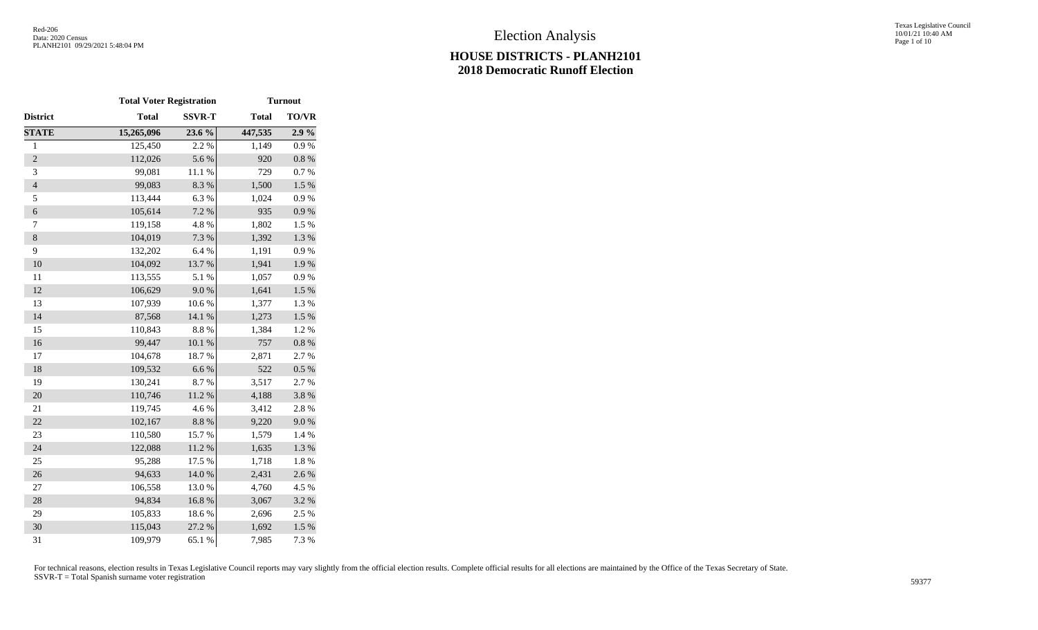Texas Legislative Council 10/01/21 10:40 AM Page 1 of 10

|                | <b>Total Voter Registration</b> |               | <b>Turnout</b> |              |  |
|----------------|---------------------------------|---------------|----------------|--------------|--|
| District       | <b>Total</b>                    | <b>SSVR-T</b> | <b>Total</b>   | <b>TO/VR</b> |  |
| <b>STATE</b>   | 15,265,096                      | 23.6 %        | 447,535        | 2.9%         |  |
| $\mathbf{1}$   | 125,450                         | 2.2 %         | 1,149          | 0.9%         |  |
| $\overline{2}$ | 112,026                         | 5.6 %         | 920            | $0.8~\%$     |  |
| 3              | 99,081                          | $11.1\ \%$    | 729            | 0.7 %        |  |
| $\overline{4}$ | 99,083                          | 8.3%          | 1,500          | $1.5\%$      |  |
| 5              | 113,444                         | 6.3%          | 1,024          | 0.9 %        |  |
| $\epsilon$     | 105,614                         | 7.2 %         | 935            | $0.9\ \%$    |  |
| $\tau$         | 119,158                         | 4.8 %         | 1,802          | 1.5 %        |  |
| $\,8\,$        | 104,019                         | 7.3 %         | 1,392          | 1.3 %        |  |
| 9              | 132,202                         | 6.4%          | 1,191          | 0.9%         |  |
| 10             | 104,092                         | 13.7%         | 1,941          | 1.9%         |  |
| 11             | 113,555                         | 5.1 %         | 1,057          | 0.9 %        |  |
| 12             | 106,629                         | 9.0%          | 1,641          | $1.5~\%$     |  |
| 13             | 107,939                         | 10.6 %        | 1,377          | 1.3%         |  |
| 14             | 87,568                          | 14.1 %        | 1,273          | 1.5 %        |  |
| 15             | 110,843                         | 8.8 %         | 1,384          | 1.2%         |  |
| 16             | 99,447                          | $10.1~\%$     | 757            | $0.8~\%$     |  |
| 17             | 104,678                         | 18.7%         | 2,871          | 2.7 %        |  |
| 18             | 109,532                         | 6.6%          | 522            | 0.5 %        |  |
| 19             | 130,241                         | 8.7%          | 3,517          | 2.7 %        |  |
| 20             | 110,746                         | 11.2%         | 4,188          | 3.8 %        |  |
| 21             | 119,745                         | 4.6%          | 3,412          | 2.8 %        |  |
| 22             | 102,167                         | $8.8~\%$      | 9,220          | 9.0%         |  |
| 23             | 110,580                         | 15.7%         | 1,579          | 1.4 %        |  |
| 24             | 122,088                         | $11.2\ \%$    | 1,635          | 1.3 %        |  |
| 25             | 95,288                          | 17.5 %        | 1,718          | 1.8%         |  |
| 26             | 94,633                          | 14.0%         | 2,431          | 2.6%         |  |
| $27\,$         | 106,558                         | 13.0 %        | 4,760          | 4.5 %        |  |
| 28             | 94,834                          | 16.8%         | 3,067          | 3.2 %        |  |
| 29             | 105,833                         | 18.6%         | 2,696          | 2.5 %        |  |
| 30             | 115,043                         | 27.2 %        | 1,692          | 1.5 %        |  |
| 31             | 109,979                         | 65.1 %        | 7,985          | 7.3 %        |  |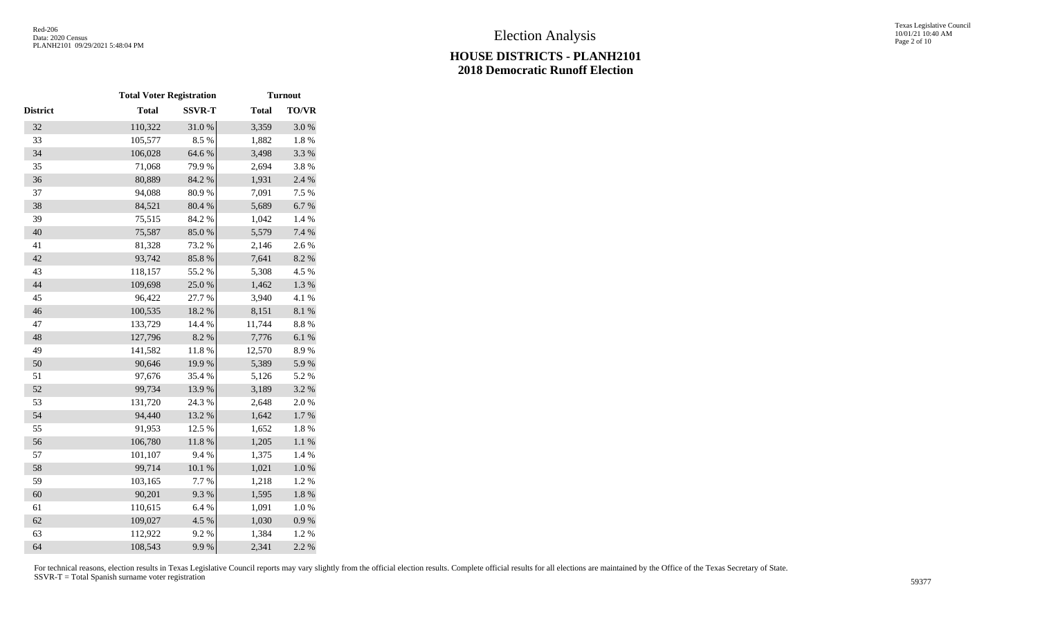|                 |              | <b>Total Voter Registration</b> |              |              |
|-----------------|--------------|---------------------------------|--------------|--------------|
| <b>District</b> | <b>Total</b> | <b>SSVR-T</b>                   | <b>Total</b> | <b>TO/VR</b> |
| 32              | 110,322      | 31.0%                           | 3,359        | 3.0%         |
| 33              | 105,577      | 8.5%                            | 1,882        | $1.8~\%$     |
| 34              | 106,028      | 64.6 %                          | 3,498        | 3.3 %        |
| 35              | 71,068       | 79.9%                           | 2,694        | 3.8%         |
| 36              | 80,889       | 84.2 %                          | 1,931        | 2.4 %        |
| 37              | 94,088       | 80.9%                           | 7,091        | 7.5 %        |
| 38              | 84,521       | 80.4 %                          | 5,689        | 6.7%         |
| 39              | 75,515       | 84.2%                           | 1,042        | 1.4 %        |
| 40              | 75,587       | 85.0%                           | 5,579        | 7.4 %        |
| 41              | 81,328       | 73.2 %                          | 2,146        | 2.6%         |
| 42              | 93,742       | 85.8%                           | 7,641        | 8.2 %        |
| 43              | 118,157      | 55.2 %                          | 5,308        | 4.5 %        |
| 44              | 109,698      | 25.0 %                          | 1,462        | $1.3~\%$     |
| 45              | 96,422       | 27.7 %                          | 3,940        | 4.1 %        |
| 46              | 100,535      | 18.2 %                          | 8,151        | $8.1~\%$     |
| 47              | 133,729      | 14.4 %                          | 11,744       | 8.8%         |
| 48              | 127,796      | 8.2 %                           | 7,776        | 6.1%         |
| 49              | 141,582      | 11.8 %                          | 12,570       | 8.9%         |
| 50              | 90,646       | 19.9%                           | 5,389        | 5.9%         |
| 51              | 97,676       | 35.4 %                          | 5,126        | 5.2 %        |
| 52              | 99,734       | 13.9%                           | 3,189        | 3.2 %        |
| 53              | 131,720      | 24.3 %                          | 2,648        | 2.0%         |
| 54              | 94,440       | 13.2 %                          | 1,642        | 1.7%         |
| 55              | 91,953       | 12.5 %                          | 1,652        | $1.8\ \%$    |
| 56              | 106,780      | $11.8\ \%$                      | 1,205        | $1.1~\%$     |
| 57              | 101,107      | 9.4%                            | 1,375        | 1.4 %        |
| 58              | 99,714       | $10.1~\%$                       | 1,021        | $1.0\ \%$    |
| 59              | 103,165      | 7.7 %                           | 1,218        | 1.2%         |
| 60              | 90,201       | 9.3%                            | 1,595        | $1.8~\%$     |
| 61              | 110,615      | 6.4%                            | 1,091        | $1.0\ \%$    |
| 62              | 109,027      | 4.5 %                           | 1,030        | 0.9 %        |
| 63              | 112,922      | 9.2%                            | 1,384        | 1.2%         |
| 64              | 108,543      | 9.9%                            | 2,341        | 2.2 %        |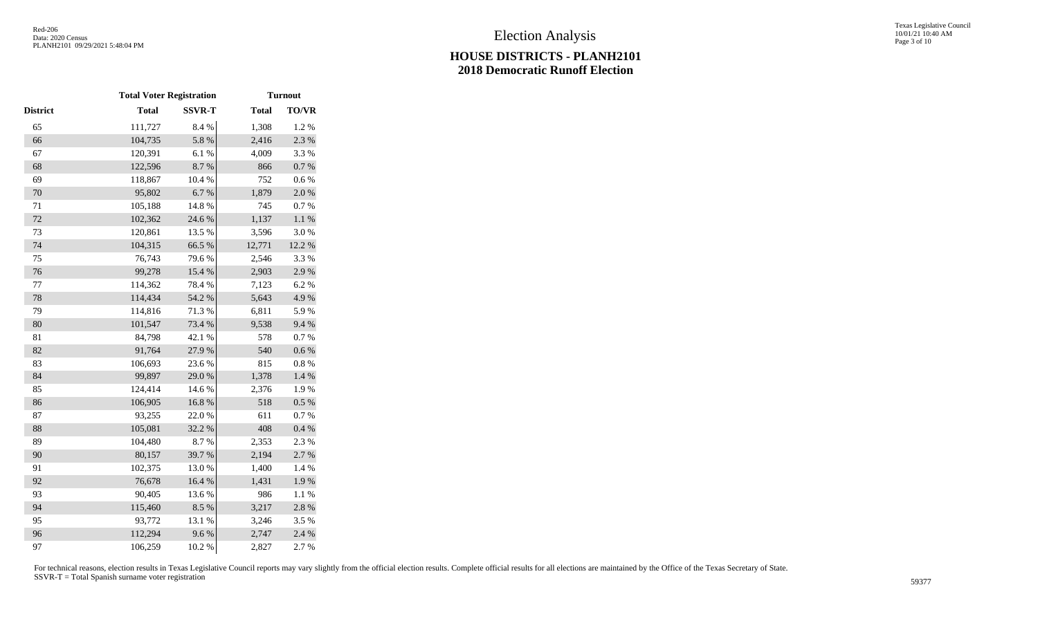|          |              | <b>Total Voter Registration</b> |              | <b>Turnout</b> |  |
|----------|--------------|---------------------------------|--------------|----------------|--|
| District | <b>Total</b> | <b>SSVR-T</b>                   | <b>Total</b> | TO/VR          |  |
| 65       | 111,727      | 8.4 %                           | 1,308        | 1.2%           |  |
| 66       | 104,735      | 5.8 %                           | 2,416        | 2.3 %          |  |
| 67       | 120,391      | 6.1%                            | 4,009        | 3.3%           |  |
| 68       | 122,596      | 8.7%                            | 866          | $0.7~\%$       |  |
| 69       | 118,867      | 10.4 %                          | 752          | 0.6 %          |  |
| 70       | 95,802       | 6.7%                            | 1,879        | 2.0%           |  |
| $71\,$   | 105,188      | 14.8 %                          | 745          | 0.7 %          |  |
| 72       | 102,362      | 24.6 %                          | 1,137        | $1.1~\%$       |  |
| 73       | 120,861      | 13.5 %                          | 3,596        | 3.0%           |  |
| 74       | 104,315      | 66.5%                           | 12,771       | 12.2 %         |  |
| 75       | 76,743       | 79.6%                           | 2,546        | 3.3%           |  |
| 76       | 99,278       | 15.4 %                          | 2,903        | 2.9%           |  |
| 77       | 114,362      | 78.4%                           | 7,123        | 6.2%           |  |
| 78       | 114,434      | 54.2 %                          | 5,643        | 4.9%           |  |
| 79       | 114,816      | 71.3%                           | 6,811        | 5.9%           |  |
| 80       | 101,547      | 73.4 %                          | 9,538        | 9.4%           |  |
| 81       | 84,798       | 42.1 %                          | 578          | 0.7 %          |  |
| 82       | 91,764       | 27.9%                           | 540          | $0.6\ \%$      |  |
| 83       | 106,693      | 23.6%                           | 815          | $0.8~\%$       |  |
| 84       | 99,897       | 29.0%                           | 1,378        | $1.4~\%$       |  |
| 85       | 124,414      | 14.6 %                          | 2,376        | 1.9%           |  |
| 86       | 106,905      | 16.8%                           | 518          | 0.5 %          |  |
| 87       | 93,255       | 22.0%                           | 611          | 0.7%           |  |
| 88       | 105,081      | 32.2 %                          | 408          | $0.4~\%$       |  |
| 89       | 104,480      | 8.7%                            | 2,353        | 2.3 %          |  |
| 90       | 80,157       | 39.7%                           | 2,194        | 2.7%           |  |
| 91       | 102,375      | 13.0%                           | 1,400        | 1.4 %          |  |
| 92       | 76,678       | 16.4%                           | 1,431        | 1.9%           |  |
| 93       | 90,405       | 13.6%                           | 986          | 1.1 %          |  |
| 94       | 115,460      | 8.5%                            | 3,217        | 2.8%           |  |
| 95       | 93,772       | 13.1 %                          | 3,246        | 3.5%           |  |
| 96       | 112,294      | 9.6%                            | 2,747        | 2.4 %          |  |
| 97       | 106,259      | 10.2%                           | 2,827        | 2.7%           |  |
|          |              |                                 |              |                |  |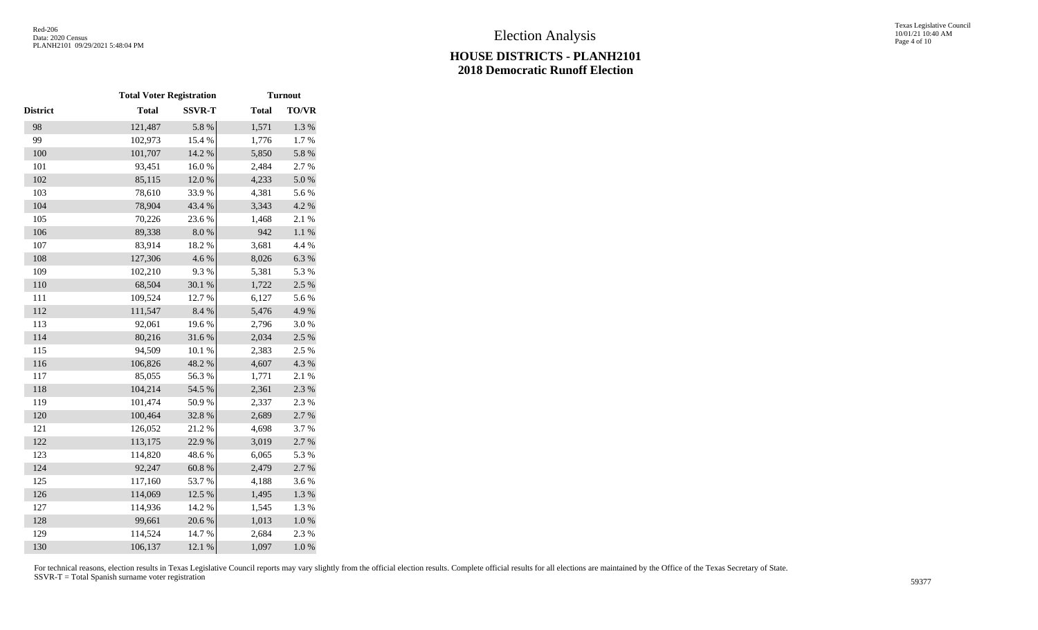|          | <b>Total Voter Registration</b> |               | <b>Turnout</b> |              |  |
|----------|---------------------------------|---------------|----------------|--------------|--|
| District | <b>Total</b>                    | <b>SSVR-T</b> | <b>Total</b>   | <b>TO/VR</b> |  |
| 98       | 121,487                         | 5.8 %         | 1,571          | 1.3 %        |  |
| 99       | 102,973                         | 15.4 %        | 1,776          | $1.7~\%$     |  |
| 100      | 101,707                         | 14.2 %        | 5,850          | 5.8 %        |  |
| 101      | 93,451                          | 16.0%         | 2,484          | 2.7 %        |  |
| 102      | 85,115                          | 12.0%         | 4,233          | 5.0%         |  |
| 103      | 78,610                          | 33.9%         | 4,381          | 5.6%         |  |
| 104      | 78,904                          | 43.4 %        | 3,343          | 4.2 %        |  |
| 105      | 70,226                          | 23.6%         | 1,468          | 2.1 %        |  |
| 106      | 89,338                          | $8.0\ \%$     | 942            | $1.1~\%$     |  |
| 107      | 83,914                          | 18.2%         | 3,681          | 4.4 %        |  |
| 108      | 127,306                         | 4.6%          | 8,026          | 6.3%         |  |
| 109      | 102,210                         | 9.3%          | 5,381          | 5.3 %        |  |
| 110      | 68,504                          | 30.1 %        | 1,722          | 2.5 %        |  |
| 111      | 109,524                         | 12.7 %        | 6,127          | 5.6%         |  |
| 112      | 111,547                         | $8.4~\%$      | 5,476          | 4.9%         |  |
| 113      | 92,061                          | 19.6%         | 2,796          | 3.0%         |  |
| 114      | 80,216                          | 31.6%         | 2,034          | 2.5 %        |  |
| 115      | 94,509                          | $10.1~\%$     | 2,383          | 2.5 %        |  |
| 116      | 106,826                         | 48.2%         | 4,607          | 4.3 %        |  |
| 117      | 85,055                          | 56.3%         | 1,771          | 2.1 %        |  |
| 118      | 104,214                         | 54.5 %        | 2,361          | 2.3 %        |  |
| 119      | 101,474                         | 50.9%         | 2,337          | 2.3 %        |  |
| 120      | 100,464                         | 32.8%         | 2,689          | 2.7%         |  |
| 121      | 126,052                         | $21.2\ \%$    | 4,698          | 3.7%         |  |
| 122      | 113,175                         | 22.9%         | 3,019          | 2.7 %        |  |
| 123      | 114,820                         | 48.6%         | 6,065          | 5.3 %        |  |
| 124      | 92,247                          | $60.8~\%$     | 2,479          | 2.7 %        |  |
| 125      | 117,160                         | 53.7%         | 4,188          | 3.6%         |  |
| 126      | 114,069                         | 12.5 %        | 1,495          | 1.3 %        |  |
| 127      | 114,936                         | 14.2 %        | 1,545          | 1.3 %        |  |
| 128      | 99,661                          | 20.6%         | 1,013          | $1.0\ \%$    |  |
| 129      | 114,524                         | 14.7%         | 2,684          | 2.3 %        |  |
| 130      | 106,137                         | 12.1 %        | 1,097          | $1.0\ \%$    |  |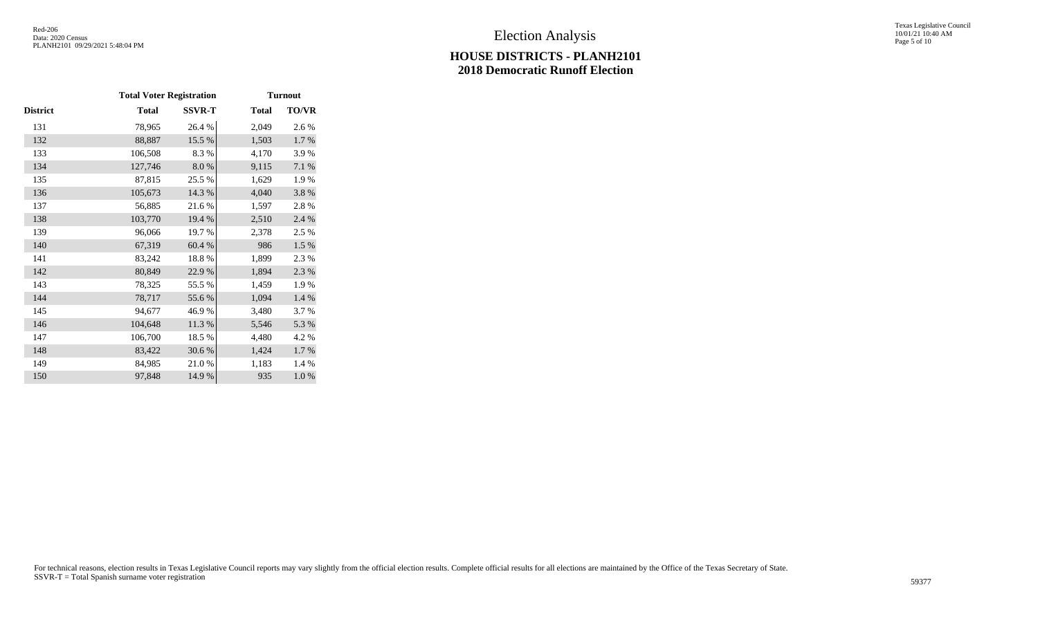|          | <b>Total Voter Registration</b> |               | <b>Turnout</b> |          |
|----------|---------------------------------|---------------|----------------|----------|
| District | <b>Total</b>                    | <b>SSVR-T</b> | <b>Total</b>   | TO/VR    |
| 131      | 78,965                          | 26.4 %        | 2,049          | 2.6 %    |
| 132      | 88,887                          | 15.5 %        | 1,503          | $1.7~\%$ |
| 133      | 106,508                         | 8.3%          | 4,170          | 3.9%     |
| 134      | 127,746                         | 8.0%          | 9,115          | 7.1 %    |
| 135      | 87,815                          | 25.5 %        | 1,629          | 1.9%     |
| 136      | 105,673                         | 14.3 %        | 4,040          | 3.8%     |
| 137      | 56,885                          | 21.6%         | 1,597          | 2.8%     |
| 138      | 103,770                         | 19.4 %        | 2,510          | 2.4 %    |
| 139      | 96,066                          | 19.7%         | 2,378          | 2.5 %    |
| 140      | 67,319                          | 60.4 %        | 986            | 1.5 %    |
| 141      | 83,242                          | 18.8%         | 1,899          | 2.3 %    |
| 142      | 80,849                          | 22.9%         | 1,894          | 2.3 %    |
| 143      | 78,325                          | 55.5 %        | 1,459          | 1.9%     |
| 144      | 78,717                          | 55.6%         | 1,094          | 1.4 %    |
| 145      | 94,677                          | 46.9%         | 3,480          | 3.7%     |
| 146      | 104,648                         | 11.3 %        | 5,546          | 5.3 %    |
| 147      | 106,700                         | 18.5 %        | 4,480          | 4.2 %    |
| 148      | 83,422                          | 30.6 %        | 1,424          | 1.7%     |
| 149      | 84,985                          | 21.0%         | 1,183          | 1.4 %    |
| 150      | 97,848                          | 14.9%         | 935            | 1.0%     |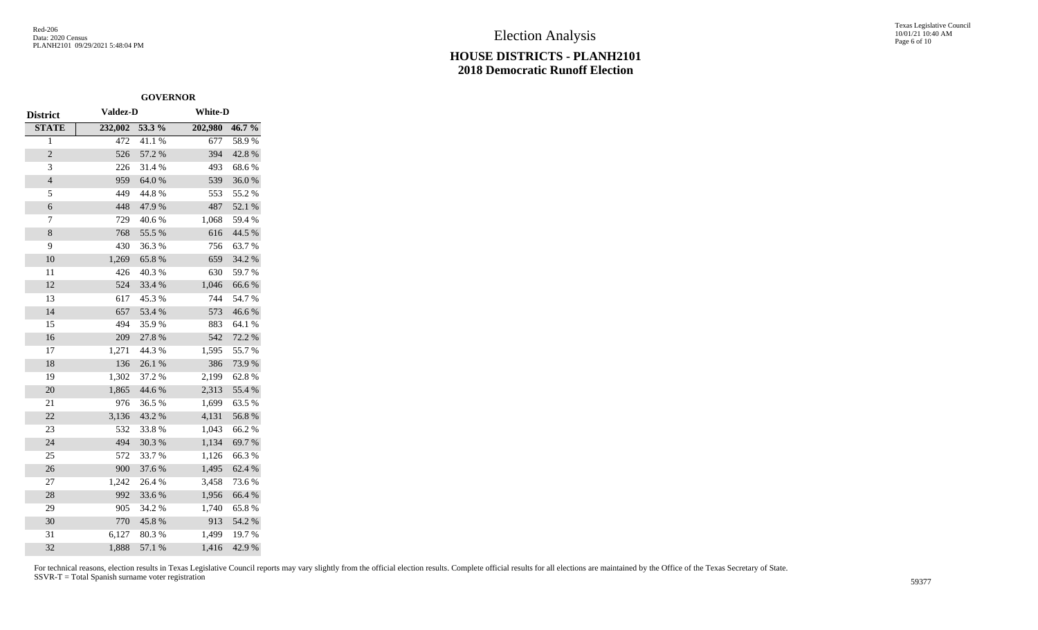Texas Legislative Council 10/01/21 10:40 AM Page 6 of 10

|                 | <b>GOVERNOR</b> |        |                |          |
|-----------------|-----------------|--------|----------------|----------|
| <b>District</b> | <b>Valdez-D</b> |        | <b>White-D</b> |          |
| <b>STATE</b>    | 232,002         | 53.3 % | 202,980        | $46.7\%$ |
| $\overline{1}$  | 472             | 41.1%  | 677            | 58.9%    |
| $\overline{c}$  | 526             | 57.2 % | 394            | 42.8%    |
| 3               | 226             | 31.4%  | 493            | 68.6%    |
| $\overline{4}$  | 959             | 64.0%  | 539            | 36.0%    |
| 5               | 449             | 44.8%  | 553            | 55.2%    |
| 6               | 448             | 47.9%  | 487            | 52.1 %   |
| 7               | 729             | 40.6%  | 1,068          | 59.4 %   |
| 8               | 768             | 55.5 % | 616            | 44.5 %   |
| 9               | 430             | 36.3%  | 756            | 63.7%    |
| 10              | 1,269           | 65.8%  | 659            | 34.2 %   |
| 11              | 426             | 40.3%  | 630            | 59.7%    |
| 12              | 524             | 33.4 % | 1,046          | 66.6%    |
| 13              | 617             | 45.3%  | 744            | 54.7%    |
| 14              | 657             | 53.4 % | 573            | 46.6%    |
| 15              | 494             | 35.9%  | 883            | 64.1 %   |
| 16              | 209             | 27.8 % | 542            | 72.2 %   |
| 17              | 1,271           | 44.3 % | 1,595          | 55.7%    |
| 18              | 136             | 26.1 % | 386            | 73.9%    |
| 19              | 1,302           | 37.2 % | 2,199          | 62.8%    |
| 20              | 1,865           | 44.6 % | 2,313          | 55.4 %   |
| 21              | 976             | 36.5 % | 1,699          | 63.5 %   |
| 22              | 3,136           | 43.2 % | 4,131          | 56.8%    |
| 23              | 532             | 33.8%  | 1,043          | 66.2%    |
| 24              | 494             | 30.3%  | 1,134          | 69.7%    |
| 25              | 572             | 33.7%  | 1,126          | 66.3%    |
| 26              | 900             | 37.6%  | 1,495          | 62.4 %   |
| 27              | 1,242           | 26.4 % | 3,458          | 73.6%    |
| 28              | 992             | 33.6%  | 1,956          | 66.4 %   |
| 29              | 905             | 34.2 % | 1,740          | 65.8 %   |
| 30              | 770             | 45.8%  | 913            | 54.2 %   |
| 31              | 6,127           | 80.3%  | 1,499          | 19.7%    |
| 32              | 1,888           | 57.1 % | 1,416          | 42.9%    |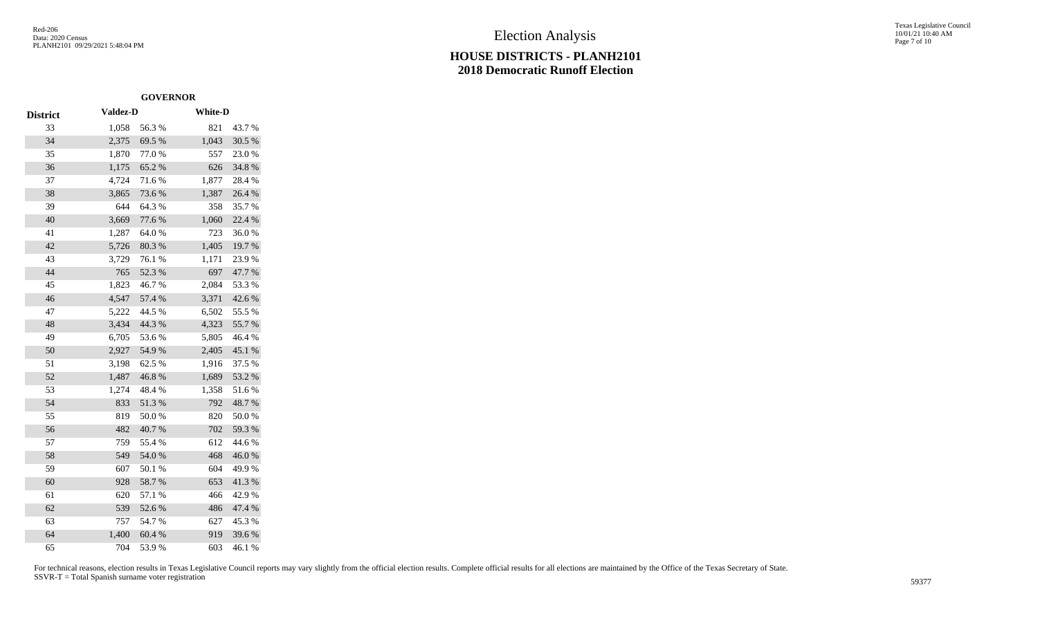### **HOUSE DISTRICTS - PLANH2101 2018 Democratic Runoff Election**

Texas Legislative Council 10/01/21 10:40 AM Page 7 of 10

|                 |                 | <b>GOVERNOR</b> |                |        |
|-----------------|-----------------|-----------------|----------------|--------|
| <b>District</b> | <b>Valdez-D</b> |                 | <b>White-D</b> |        |
| 33              | 1,058           | 56.3%           | 821            | 43.7%  |
| 34              | 2,375           | 69.5 %          | 1,043          | 30.5 % |
| 35              | 1,870           | 77.0 %          | 557            | 23.0%  |
| 36              | 1,175           | 65.2%           | 626            | 34.8%  |
| 37              | 4,724           | 71.6%           | 1,877          | 28.4%  |
| 38              | 3,865           | 73.6 %          | 1,387          | 26.4 % |
| 39              | 644             | 64.3%           | 358            | 35.7%  |
| 40              | 3,669           | 77.6%           | 1,060          | 22.4 % |
| 41              | 1,287           | 64.0%           | 723            | 36.0%  |
| 42              | 5,726           | 80.3%           | 1,405          | 19.7 % |
| 43              | 3,729           | 76.1 %          | 1,171          | 23.9%  |
| 44              | 765             | 52.3 %          | 697            | 47.7%  |
| 45              | 1,823           | 46.7%           | 2,084          | 53.3 % |
| 46              | 4,547           | 57.4 %          | 3,371          | 42.6 % |
| 47              | 5,222           | 44.5 %          | 6,502          | 55.5 % |
| 48              | 3,434           | 44.3 %          | 4,323          | 55.7%  |
| 49              | 6,705           | 53.6%           | 5,805          | 46.4 % |
| 50              | 2,927           | 54.9%           | 2,405          | 45.1 % |
| 51              | 3,198           | 62.5 %          | 1,916          | 37.5 % |
| 52              | 1,487           | 46.8%           | 1,689          | 53.2 % |
| 53              | 1,274           | 48.4%           | 1,358          | 51.6%  |
| 54              | 833             | 51.3%           | 792            | 48.7%  |
| 55              | 819             | 50.0%           | 820            | 50.0%  |
| 56              | 482             | 40.7%           | 702            | 59.3%  |
| 57              | 759             | 55.4 %          | 612            | 44.6 % |
| 58              | 549             | 54.0%           | 468            | 46.0%  |
| 59              | 607             | 50.1 %          | 604            | 49.9%  |
| 60              | 928             | 58.7%           | 653            | 41.3%  |
| 61              | 620             | 57.1 %          | 466            | 42.9%  |
| 62              | 539             | 52.6%           | 486            | 47.4 % |
| 63              | 757             | 54.7%           | 627            | 45.3%  |
| 64              | 1,400           | 60.4 %          | 919            | 39.6%  |
| 65              | 704             | 53.9%           | 603            | 46.1%  |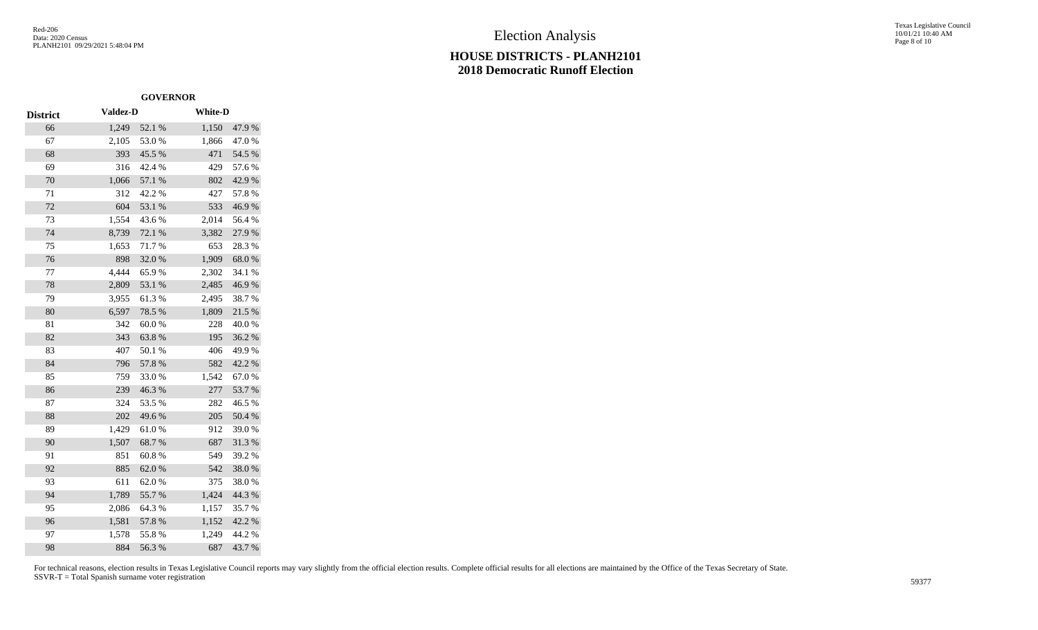### **HOUSE DISTRICTS - PLANH2101 2018 Democratic Runoff Election**

Texas Legislative Council 10/01/21 10:40 AM Page 8 of 10

|                 |                 | <b>GOVERNOR</b> |                |        |
|-----------------|-----------------|-----------------|----------------|--------|
| <b>District</b> | <b>Valdez-D</b> |                 | <b>White-D</b> |        |
| 66              | 1,249           | 52.1 %          | 1,150          | 47.9%  |
| 67              | 2,105           | 53.0%           | 1,866          | 47.0%  |
| 68              | 393             | 45.5 %          | 471            | 54.5 % |
| 69              | 316             | 42.4 %          | 429            | 57.6%  |
| 70              | 1,066           | 57.1 %          | 802            | 42.9%  |
| 71              | 312             | 42.2 %          | 427            | 57.8%  |
| 72              | 604             | 53.1 %          | 533            | 46.9%  |
| 73              | 1,554           | 43.6%           | 2,014          | 56.4 % |
| 74              | 8,739           | 72.1 %          | 3,382          | 27.9%  |
| 75              | 1,653           | 71.7%           | 653            | 28.3%  |
| 76              | 898             | 32.0%           | 1,909          | 68.0%  |
| 77              | 4,444           | 65.9%           | 2,302          | 34.1 % |
| 78              | 2,809           | 53.1 %          | 2,485          | 46.9%  |
| 79              | 3,955           | 61.3%           | 2,495          | 38.7%  |
| 80              | 6,597           | 78.5 %          | 1,809          | 21.5 % |
| 81              | 342             | 60.0%           | 228            | 40.0%  |
| 82              | 343             | 63.8%           | 195            | 36.2%  |
| 83              | 407             | 50.1 %          | 406            | 49.9%  |
| 84              | 796             | 57.8%           | 582            | 42.2 % |
| 85              | 759             | 33.0%           | 1,542          | 67.0%  |
| 86              | 239             | 46.3%           | 277            | 53.7%  |
| 87              | 324             | 53.5 %          | 282            | 46.5 % |
| 88              | 202             | 49.6%           | 205            | 50.4%  |
| 89              | 1,429           | 61.0%           | 912            | 39.0%  |
| 90              | 1,507           | 68.7%           | 687            | 31.3%  |
| 91              | 851             | 60.8%           | 549            | 39.2%  |
| 92              | 885             | 62.0%           | 542            | 38.0%  |
| 93              | 611             | 62.0%           | 375            | 38.0%  |
| 94              | 1,789           | 55.7%           | 1,424          | 44.3 % |
| 95              | 2,086           | 64.3 %          | 1,157          | 35.7%  |
| 96              | 1,581           | 57.8 %          | 1,152          | 42.2 % |
| 97              | 1,578           | 55.8%           | 1,249          | 44.2 % |
| 98              | 884             | 56.3%           | 687            | 43.7%  |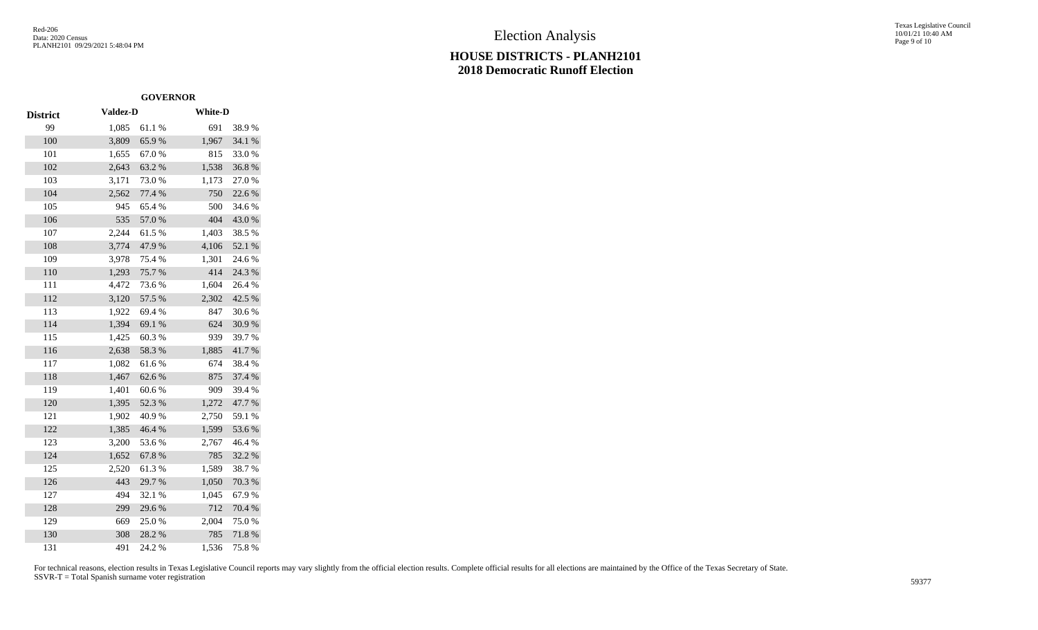### **HOUSE DISTRICTS - PLANH2101 2018 Democratic Runoff Election**

Texas Legislative Council 10/01/21 10:40 AM Page 9 of 10

|                 | <b>GOVERNOR</b> |        |                |        |
|-----------------|-----------------|--------|----------------|--------|
| <b>District</b> | <b>Valdez-D</b> |        | <b>White-D</b> |        |
| 99              | 1,085           | 61.1%  | 691            | 38.9%  |
| 100             | 3,809           | 65.9%  | 1,967          | 34.1 % |
| 101             | 1,655           | 67.0%  | 815            | 33.0%  |
| 102             | 2,643           | 63.2%  | 1,538          | 36.8%  |
| 103             | 3,171           | 73.0%  | 1,173          | 27.0%  |
| 104             | 2,562           | 77.4 % | 750            | 22.6 % |
| 105             | 945             | 65.4%  | 500            | 34.6%  |
| 106             | 535             | 57.0 % | 404            | 43.0%  |
| 107             | 2,244           | 61.5%  | 1,403          | 38.5 % |
| 108             | 3,774           | 47.9%  | 4,106          | 52.1 % |
| 109             | 3,978           | 75.4 % | 1,301          | 24.6 % |
| 110             | 1,293           | 75.7%  | 414            | 24.3 % |
| 111             | 4,472           | 73.6 % | 1,604          | 26.4 % |
| 112             | 3,120           | 57.5 % | 2,302          | 42.5 % |
| 113             | 1,922           | 69.4%  | 847            | 30.6%  |
| 114             | 1,394           | 69.1 % | 624            | 30.9%  |
| 115             | 1,425           | 60.3%  | 939            | 39.7%  |
| 116             | 2,638           | 58.3%  | 1,885          | 41.7%  |
| 117             | 1,082           | 61.6%  | 674            | 38.4%  |
| 118             | 1,467           | 62.6%  | 875            | 37.4 % |
| 119             | 1,401           | 60.6%  | 909            | 39.4 % |
| 120             | 1,395           | 52.3 % | 1,272          | 47.7 % |
| 121             | 1,902           | 40.9%  | 2,750          | 59.1 % |
| 122             | 1,385           | 46.4 % | 1,599          | 53.6%  |
| 123             | 3,200           | 53.6%  | 2,767          | 46.4%  |
| 124             | 1,652           | 67.8%  | 785            | 32.2 % |
| 125             | 2,520           | 61.3%  | 1,589          | 38.7%  |
| 126             | 443             | 29.7 % | 1,050          | 70.3 % |
| 127             | 494             | 32.1 % | 1,045          | 67.9%  |
| 128             | 299             | 29.6%  | 712            | 70.4 % |
| 129             | 669             | 25.0%  | 2,004          | 75.0%  |
| 130             | 308             | 28.2 % | 785            | 71.8%  |
| 131             | 491             | 24.2 % | 1,536          | 75.8%  |